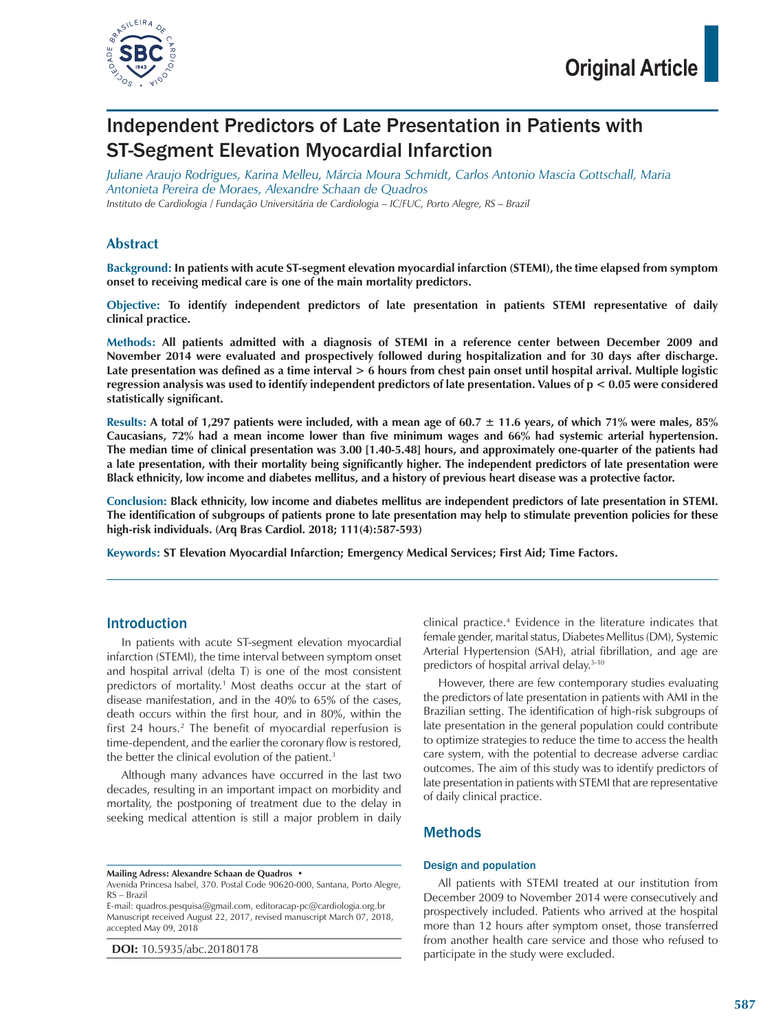

# Independent Predictors of Late Presentation in Patients with ST‑Segment Elevation Myocardial Infarction

*Juliane Araujo Rodrigues, Karina Melleu, Márcia Moura Schmidt, Carlos Antonio Mascia Gottschall, Maria Antonieta Pereira de Moraes, Alexandre Schaan de Quadros Instituto de Cardiologia / Fundação Universitária de Cardiologia – IC/FUC, Porto Alegre, RS – Brazil*

### **Abstract**

**Background: In patients with acute ST-segment elevation myocardial infarction (STEMI), the time elapsed from symptom onset to receiving medical care is one of the main mortality predictors.**

**Objective: To identify independent predictors of late presentation in patients STEMI representative of daily clinical practice.**

**Methods: All patients admitted with a diagnosis of STEMI in a reference center between December 2009 and November 2014 were evaluated and prospectively followed during hospitalization and for 30 days after discharge.**  Late presentation was defined as a time interval  $> 6$  hours from chest pain onset until hospital arrival. Multiple logistic **regression analysis was used to identify independent predictors of late presentation. Values of p < 0.05 were considered statistically significant.**

**Results: A total of 1,297 patients were included, with a mean age of 60.7 ± 11.6 years, of which 71% were males, 85% Caucasians, 72% had a mean income lower than five minimum wages and 66% had systemic arterial hypertension. The median time of clinical presentation was 3.00 [1.40-5.48] hours, and approximately one-quarter of the patients had a late presentation, with their mortality being significantly higher. The independent predictors of late presentation were Black ethnicity, low income and diabetes mellitus, and a history of previous heart disease was a protective factor.**

**Conclusion: Black ethnicity, low income and diabetes mellitus are independent predictors of late presentation in STEMI. The identification of subgroups of patients prone to late presentation may help to stimulate prevention policies for these high-risk individuals. (Arq Bras Cardiol. 2018; 111(4):587-593)**

**Keywords: ST Elevation Myocardial Infarction; Emergency Medical Services; First Aid; Time Factors.**

### Introduction

In patients with acute ST-segment elevation myocardial infarction (STEMI), the time interval between symptom onset and hospital arrival (delta T) is one of the most consistent predictors of mortality.1 Most deaths occur at the start of disease manifestation, and in the 40% to 65% of the cases, death occurs within the first hour, and in 80%, within the first 24 hours.2 The benefit of myocardial reperfusion is time-dependent, and the earlier the coronary flow is restored, the better the clinical evolution of the patient.<sup>3</sup>

Although many advances have occurred in the last two decades, resulting in an important impact on morbidity and mortality, the postponing of treatment due to the delay in seeking medical attention is still a major problem in daily

**Mailing Adress: Alexandre Schaan de Quadros •**

E-mail: quadros.pesquisa@gmail.com, editoracap-pc@cardiologia.org.br Manuscript received August 22, 2017, revised manuscript March 07, 2018, accepted May 09, 2018

**DOI:** 10.5935/abc.20180178

clinical practice.4 Evidence in the literature indicates that female gender, marital status, Diabetes Mellitus (DM), Systemic Arterial Hypertension (SAH), atrial fibrillation, and age are predictors of hospital arrival delay.<sup>5-10</sup>

However, there are few contemporary studies evaluating the predictors of late presentation in patients with AMI in the Brazilian setting. The identification of high-risk subgroups of late presentation in the general population could contribute to optimize strategies to reduce the time to access the health care system, with the potential to decrease adverse cardiac outcomes. The aim of this study was to identify predictors of late presentation in patients with STEMI that are representative of daily clinical practice.

### Methods

### Design and population

All patients with STEMI treated at our institution from December 2009 to November 2014 were consecutively and prospectively included. Patients who arrived at the hospital more than 12 hours after symptom onset, those transferred from another health care service and those who refused to participate in the study were excluded.

Avenida Princesa Isabel, 370. Postal Code 90620-000, Santana, Porto Alegre, RS – Brazil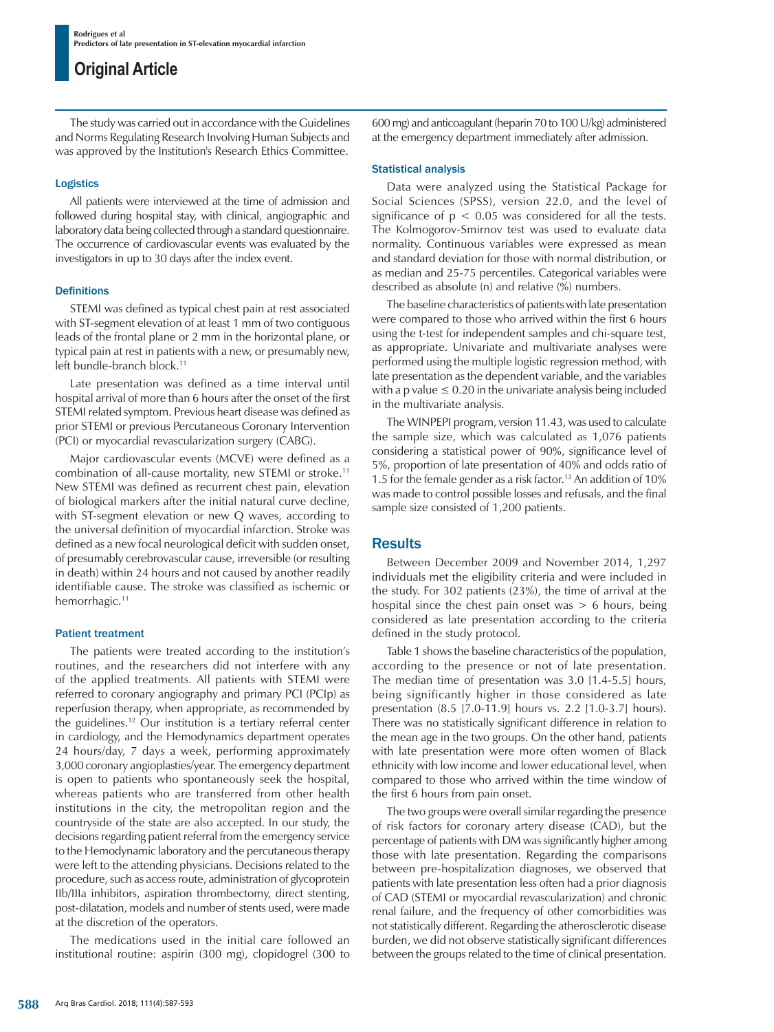The study was carried out in accordance with the Guidelines and Norms Regulating Research Involving Human Subjects and was approved by the Institution's Research Ethics Committee.

### Logistics

All patients were interviewed at the time of admission and followed during hospital stay, with clinical, angiographic and laboratory data being collected through a standard questionnaire. The occurrence of cardiovascular events was evaluated by the investigators in up to 30 days after the index event.

### Definitions

STEMI was defined as typical chest pain at rest associated with ST-segment elevation of at least 1 mm of two contiguous leads of the frontal plane or 2 mm in the horizontal plane, or typical pain at rest in patients with a new, or presumably new, left bundle-branch block.<sup>11</sup>

Late presentation was defined as a time interval until hospital arrival of more than 6 hours after the onset of the first STEMI related symptom. Previous heart disease was defined as prior STEMI or previous Percutaneous Coronary Intervention (PCI) or myocardial revascularization surgery (CABG).

Major cardiovascular events (MCVE) were defined as a combination of all-cause mortality, new STEMI or stroke.11 New STEMI was defined as recurrent chest pain, elevation of biological markers after the initial natural curve decline, with ST-segment elevation or new Q waves, according to the universal definition of myocardial infarction. Stroke was defined as a new focal neurological deficit with sudden onset, of presumably cerebrovascular cause, irreversible (or resulting in death) within 24 hours and not caused by another readily identifiable cause. The stroke was classified as ischemic or hemorrhagic.<sup>11</sup>

### Patient treatment

The patients were treated according to the institution's routines, and the researchers did not interfere with any of the applied treatments. All patients with STEMI were referred to coronary angiography and primary PCI (PCIp) as reperfusion therapy, when appropriate, as recommended by the guidelines.12 Our institution is a tertiary referral center in cardiology, and the Hemodynamics department operates 24 hours/day, 7 days a week, performing approximately 3,000 coronary angioplasties/year. The emergency department is open to patients who spontaneously seek the hospital, whereas patients who are transferred from other health institutions in the city, the metropolitan region and the countryside of the state are also accepted. In our study, the decisions regarding patient referral from the emergency service to the Hemodynamic laboratory and the percutaneous therapy were left to the attending physicians. Decisions related to the procedure, such as access route, administration of glycoprotein IIb/IIIa inhibitors, aspiration thrombectomy, direct stenting, post-dilatation, models and number of stents used, were made at the discretion of the operators.

The medications used in the initial care followed an institutional routine: aspirin (300 mg), clopidogrel (300 to 600 mg) and anticoagulant (heparin 70 to 100 U/kg) administered at the emergency department immediately after admission.

### Statistical analysis

Data were analyzed using the Statistical Package for Social Sciences (SPSS), version 22.0, and the level of significance of  $p < 0.05$  was considered for all the tests. The Kolmogorov-Smirnov test was used to evaluate data normality. Continuous variables were expressed as mean and standard deviation for those with normal distribution, or as median and 25-75 percentiles. Categorical variables were described as absolute (n) and relative (%) numbers.

The baseline characteristics of patients with late presentation were compared to those who arrived within the first 6 hours using the t-test for independent samples and chi-square test, as appropriate. Univariate and multivariate analyses were performed using the multiple logistic regression method, with late presentation as the dependent variable, and the variables with a p value  $\leq 0.20$  in the univariate analysis being included in the multivariate analysis.

The WINPEPI program, version 11.43, was used to calculate the sample size, which was calculated as 1,076 patients considering a statistical power of 90%, significance level of 5%, proportion of late presentation of 40% and odds ratio of 1.5 for the female gender as a risk factor.<sup>13</sup> An addition of 10% was made to control possible losses and refusals, and the final sample size consisted of 1,200 patients.

## **Results**

Between December 2009 and November 2014, 1,297 individuals met the eligibility criteria and were included in the study. For 302 patients (23%), the time of arrival at the hospital since the chest pain onset was  $> 6$  hours, being considered as late presentation according to the criteria defined in the study protocol.

Table 1 shows the baseline characteristics of the population, according to the presence or not of late presentation. The median time of presentation was 3.0 [1.4-5.5] hours, being significantly higher in those considered as late presentation (8.5 [7.0-11.9] hours vs. 2.2 [1.0-3.7] hours). There was no statistically significant difference in relation to the mean age in the two groups. On the other hand, patients with late presentation were more often women of Black ethnicity with low income and lower educational level, when compared to those who arrived within the time window of the first 6 hours from pain onset.

The two groups were overall similar regarding the presence of risk factors for coronary artery disease (CAD), but the percentage of patients with DM was significantly higher among those with late presentation. Regarding the comparisons between pre-hospitalization diagnoses, we observed that patients with late presentation less often had a prior diagnosis of CAD (STEMI or myocardial revascularization) and chronic renal failure, and the frequency of other comorbidities was not statistically different. Regarding the atherosclerotic disease burden, we did not observe statistically significant differences between the groups related to the time of clinical presentation.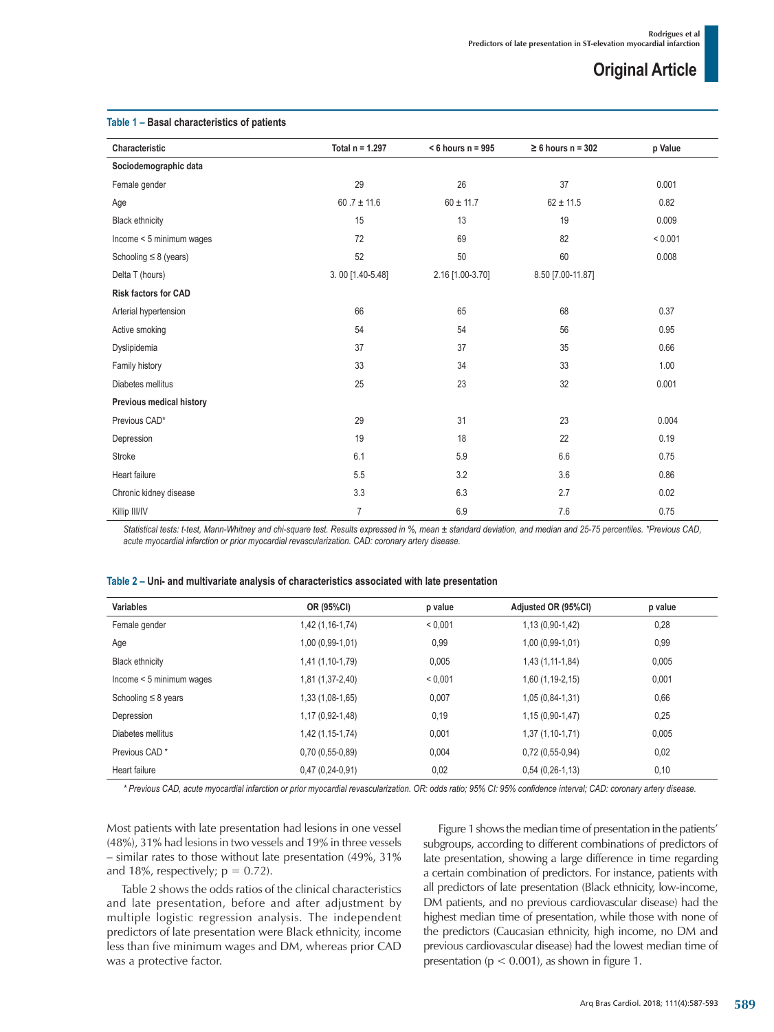| Characteristic              | Total $n = 1.297$ | $<$ 6 hours n = 995 | $\geq 6$ hours n = 302 | p Value |
|-----------------------------|-------------------|---------------------|------------------------|---------|
| Sociodemographic data       |                   |                     |                        |         |
| Female gender               | 29                | 26                  | 37                     | 0.001   |
| Age                         | $60.7 \pm 11.6$   | $60 \pm 11.7$       | $62 \pm 11.5$          | 0.82    |
| <b>Black ethnicity</b>      | 15                | 13                  | 19                     | 0.009   |
| Income < 5 minimum wages    | 72                | 69                  | 82                     | < 0.001 |
| Schooling $\leq 8$ (years)  | 52                | 50                  | 60                     | 0.008   |
| Delta T (hours)             | 3.00 [1.40-5.48]  | 2.16 [1.00-3.70]    | 8.50 [7.00-11.87]      |         |
| <b>Risk factors for CAD</b> |                   |                     |                        |         |
| Arterial hypertension       | 66                | 65                  | 68                     | 0.37    |
| Active smoking              | 54                | 54                  | 56                     | 0.95    |
| Dyslipidemia                | 37                | 37                  | 35                     | 0.66    |
| Family history              | 33                | 34                  | 33                     | 1.00    |
| Diabetes mellitus           | 25                | 23                  | 32                     | 0.001   |
| Previous medical history    |                   |                     |                        |         |
| Previous CAD*               | 29                | 31                  | 23                     | 0.004   |
| Depression                  | 19                | 18                  | 22                     | 0.19    |
| Stroke                      | 6.1               | 5.9                 | 6.6                    | 0.75    |
| Heart failure               | 5.5               | 3.2                 | 3.6                    | 0.86    |
| Chronic kidney disease      | 3.3               | 6.3                 | 2.7                    | 0.02    |
| Killip III/IV               | $\overline{7}$    | 6.9                 | 7.6                    | 0.75    |

### **Table 1 – Basal characteristics of patients**

*Statistical tests: t-test, Mann-Whitney and chi-square test. Results expressed in %, mean ± standard deviation, and median and 25-75 percentiles. \*Previous CAD, acute myocardial infarction or prior myocardial revascularization. CAD: coronary artery disease.*

#### **Table 2 – Uni- and multivariate analysis of characteristics associated with late presentation**

| <b>Variables</b>          | OR (95%CI)        | p value | Adjusted OR (95%CI) | p value |
|---------------------------|-------------------|---------|---------------------|---------|
| Female gender             | 1,42 (1,16-1,74)  | < 0.001 | $1,13(0,90-1,42)$   | 0,28    |
| Age                       | $1,00(0,99-1,01)$ | 0,99    | $1,00(0,99-1,01)$   | 0,99    |
| <b>Black ethnicity</b>    | 1,41 (1,10-1,79)  | 0,005   | 1,43 (1,11-1,84)    | 0,005   |
| Income < 5 minimum wages  | 1,81 (1,37-2,40)  | < 0.001 | $1,60(1,19-2,15)$   | 0,001   |
| Schooling $\leq 8$ years  | 1,33 (1,08-1,65)  | 0,007   | $1,05(0,84-1,31)$   | 0,66    |
| Depression                | 1,17 (0,92-1,48)  | 0,19    | $1,15(0,90-1,47)$   | 0,25    |
| Diabetes mellitus         | 1,42 (1,15-1,74)  | 0,001   | $1,37(1,10-1,71)$   | 0,005   |
| Previous CAD <sup>*</sup> | $0,70(0,55-0,89)$ | 0,004   | $0,72(0,55-0,94)$   | 0,02    |
| Heart failure             | $0,47(0,24-0,91)$ | 0,02    | $0,54(0,26-1,13)$   | 0,10    |

*\* Previous CAD, acute myocardial infarction or prior myocardial revascularization. OR: odds ratio; 95% CI: 95% confidence interval; CAD: coronary artery disease.*

Most patients with late presentation had lesions in one vessel (48%), 31% had lesions in two vessels and 19% in three vessels – similar rates to those without late presentation (49%, 31% and 18%, respectively;  $p = 0.72$ ).

Table 2 shows the odds ratios of the clinical characteristics and late presentation, before and after adjustment by multiple logistic regression analysis. The independent predictors of late presentation were Black ethnicity, income less than five minimum wages and DM, whereas prior CAD was a protective factor.

Figure 1 shows the median time of presentation in the patients' subgroups, according to different combinations of predictors of late presentation, showing a large difference in time regarding a certain combination of predictors. For instance, patients with all predictors of late presentation (Black ethnicity, low-income, DM patients, and no previous cardiovascular disease) had the highest median time of presentation, while those with none of the predictors (Caucasian ethnicity, high income, no DM and previous cardiovascular disease) had the lowest median time of presentation ( $p < 0.001$ ), as shown in figure 1.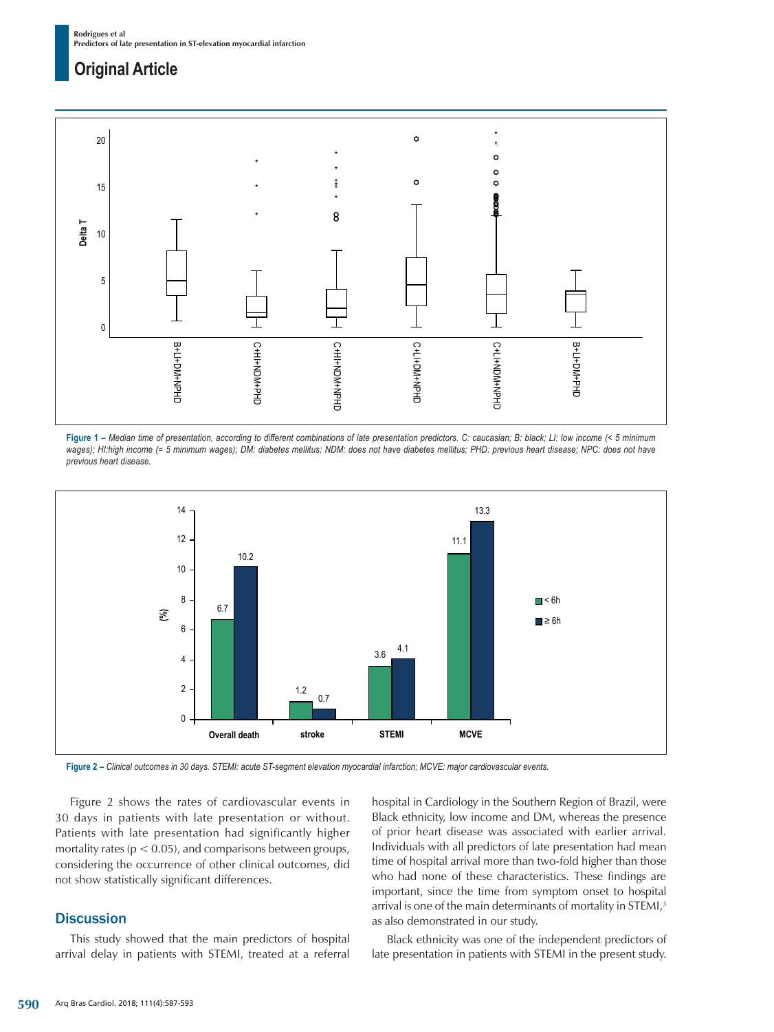

**Figure 1 –** *Median time of presentation, according to different combinations of late presentation predictors. C: caucasian; B: black; LI: low income (< 5 minimum*  wages); HI:high income (= 5 minimum wages); DM: diabetes mellitus; NDM: does not have diabetes mellitus; PHD: previous heart disease; NPC: does not have *previous heart disease.*



**Figure 2 –** *Clinical outcomes in 30 days. STEMI: acute ST-segment elevation myocardial infarction; MCVE: major cardiovascular events.*

Figure 2 shows the rates of cardiovascular events in 30 days in patients with late presentation or without. Patients with late presentation had significantly higher mortality rates ( $p < 0.05$ ), and comparisons between groups, considering the occurrence of other clinical outcomes, did not show statistically significant differences.

## **Discussion**

This study showed that the main predictors of hospital arrival delay in patients with STEMI, treated at a referral hospital in Cardiology in the Southern Region of Brazil, were Black ethnicity, low income and DM, whereas the presence of prior heart disease was associated with earlier arrival. Individuals with all predictors of late presentation had mean time of hospital arrival more than two-fold higher than those who had none of these characteristics. These findings are important, since the time from symptom onset to hospital arrival is one of the main determinants of mortality in STEMI,<sup>3</sup> as also demonstrated in our study.

Black ethnicity was one of the independent predictors of late presentation in patients with STEMI in the present study.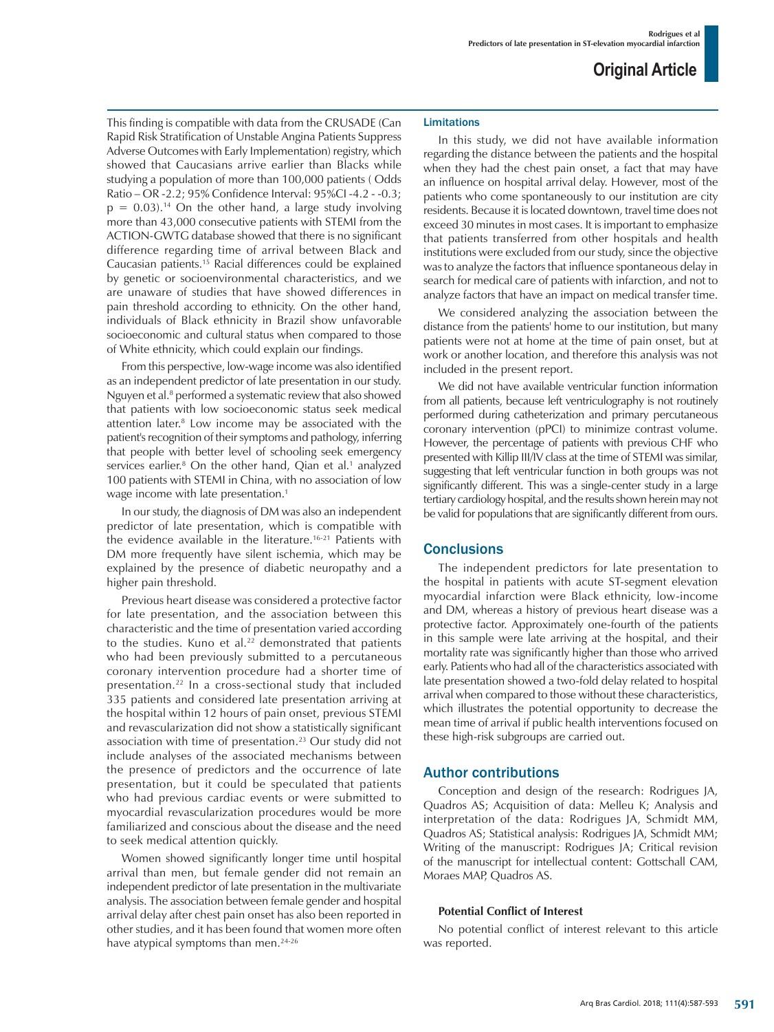This finding is compatible with data from the CRUSADE (Can Rapid Risk Stratification of Unstable Angina Patients Suppress Adverse Outcomes with Early Implementation) registry, which showed that Caucasians arrive earlier than Blacks while studying a population of more than 100,000 patients ( Odds Ratio – OR -2.2; 95% Confidence Interval: 95%CI -4.2 - -0.3;  $p = 0.03$ .<sup>14</sup> On the other hand, a large study involving more than 43,000 consecutive patients with STEMI from the ACTION-GWTG database showed that there is no significant difference regarding time of arrival between Black and Caucasian patients.15 Racial differences could be explained by genetic or socioenvironmental characteristics, and we are unaware of studies that have showed differences in pain threshold according to ethnicity. On the other hand, individuals of Black ethnicity in Brazil show unfavorable socioeconomic and cultural status when compared to those of White ethnicity, which could explain our findings.

From this perspective, low-wage income was also identified as an independent predictor of late presentation in our study. Nguyen et al.<sup>8</sup> performed a systematic review that also showed that patients with low socioeconomic status seek medical attention later.8 Low income may be associated with the patient's recognition of their symptoms and pathology, inferring that people with better level of schooling seek emergency services earlier.<sup>8</sup> On the other hand, Qian et al.<sup>1</sup> analyzed 100 patients with STEMI in China, with no association of low wage income with late presentation.<sup>1</sup>

In our study, the diagnosis of DM was also an independent predictor of late presentation, which is compatible with the evidence available in the literature.<sup>16-21</sup> Patients with DM more frequently have silent ischemia, which may be explained by the presence of diabetic neuropathy and a higher pain threshold.

Previous heart disease was considered a protective factor for late presentation, and the association between this characteristic and the time of presentation varied according to the studies. Kuno et al.<sup>22</sup> demonstrated that patients who had been previously submitted to a percutaneous coronary intervention procedure had a shorter time of presentation.22 In a cross-sectional study that included 335 patients and considered late presentation arriving at the hospital within 12 hours of pain onset, previous STEMI and revascularization did not show a statistically significant association with time of presentation.<sup>23</sup> Our study did not include analyses of the associated mechanisms between the presence of predictors and the occurrence of late presentation, but it could be speculated that patients who had previous cardiac events or were submitted to myocardial revascularization procedures would be more familiarized and conscious about the disease and the need to seek medical attention quickly.

Women showed significantly longer time until hospital arrival than men, but female gender did not remain an independent predictor of late presentation in the multivariate analysis. The association between female gender and hospital arrival delay after chest pain onset has also been reported in other studies, and it has been found that women more often have atypical symptoms than men.<sup>24-26</sup>

### **Limitations**

In this study, we did not have available information regarding the distance between the patients and the hospital when they had the chest pain onset, a fact that may have an influence on hospital arrival delay. However, most of the patients who come spontaneously to our institution are city residents. Because it is located downtown, travel time does not exceed 30 minutes in most cases. It is important to emphasize that patients transferred from other hospitals and health institutions were excluded from our study, since the objective was to analyze the factors that influence spontaneous delay in search for medical care of patients with infarction, and not to analyze factors that have an impact on medical transfer time.

We considered analyzing the association between the distance from the patients' home to our institution, but many patients were not at home at the time of pain onset, but at work or another location, and therefore this analysis was not included in the present report.

We did not have available ventricular function information from all patients, because left ventriculography is not routinely performed during catheterization and primary percutaneous coronary intervention (pPCI) to minimize contrast volume. However, the percentage of patients with previous CHF who presented with Killip III/IV class at the time of STEMI was similar, suggesting that left ventricular function in both groups was not significantly different. This was a single-center study in a large tertiary cardiology hospital, and the results shown herein may not be valid for populations that are significantly different from ours.

### **Conclusions**

The independent predictors for late presentation to the hospital in patients with acute ST-segment elevation myocardial infarction were Black ethnicity, low-income and DM, whereas a history of previous heart disease was a protective factor. Approximately one-fourth of the patients in this sample were late arriving at the hospital, and their mortality rate was significantly higher than those who arrived early. Patients who had all of the characteristics associated with late presentation showed a two-fold delay related to hospital arrival when compared to those without these characteristics, which illustrates the potential opportunity to decrease the mean time of arrival if public health interventions focused on these high-risk subgroups are carried out.

### Author contributions

Conception and design of the research: Rodrigues JA, Quadros AS; Acquisition of data: Melleu K; Analysis and interpretation of the data: Rodrigues JA, Schmidt MM, Quadros AS; Statistical analysis: Rodrigues JA, Schmidt MM; Writing of the manuscript: Rodrigues JA; Critical revision of the manuscript for intellectual content: Gottschall CAM, Moraes MAP, Quadros AS.

#### **Potential Conflict of Interest**

No potential conflict of interest relevant to this article was reported.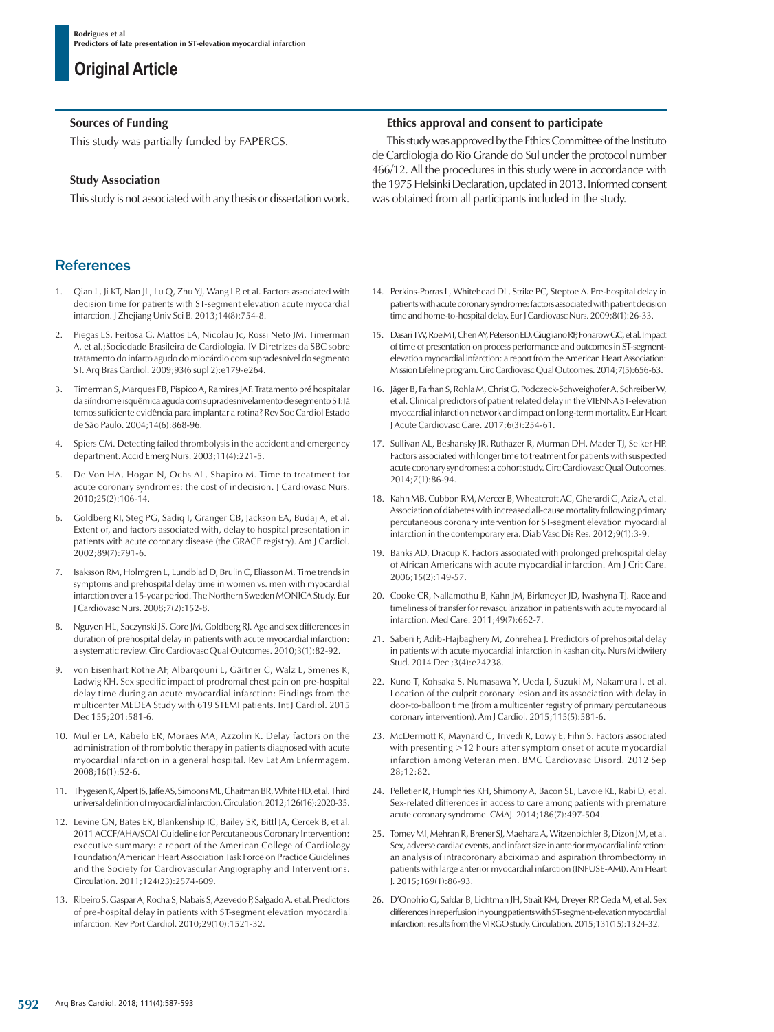### **Sources of Funding**

This study was partially funded by FAPERGS.

### **Study Association**

This study is not associated with any thesis or dissertation work.

## **References**

- 1. Qian L, Ji KT, Nan JL, Lu Q, Zhu YJ, Wang LP, et al. Factors associated with decision time for patients with ST-segment elevation acute myocardial infarction. J Zhejiang Univ Sci B. 2013;14(8):754-8.
- 2. Piegas LS, Feitosa G, Mattos LA, Nicolau Jc, Rossi Neto JM, Timerman A, et al.;Sociedade Brasileira de Cardiologia. IV Diretrizes da SBC sobre tratamento do infarto agudo do miocárdio com supradesnível do segmento ST. Arq Bras Cardiol. 2009;93(6 supl 2):e179-e264.
- 3. Timerman S, Marques FB, Pispico A, Ramires JAF. Tratamento pré hospitalar da siíndrome isquêmica aguda com supradesnivelamento de segmento ST:Já temos suficiente evidência para implantar a rotina? Rev Soc Cardiol Estado de São Paulo. 2004;14(6):868-96.
- 4. Spiers CM. Detecting failed thrombolysis in the accident and emergency department. Accid Emerg Nurs. 2003;11(4):221-5.
- 5. De Von HA, Hogan N, Ochs AL, Shapiro M. Time to treatment for acute coronary syndromes: the cost of indecision. J Cardiovasc Nurs. 2010;25(2):106-14.
- 6. Goldberg RJ, Steg PG, Sadiq I, Granger CB, Jackson EA, Budaj A, et al. Extent of, and factors associated with, delay to hospital presentation in patients with acute coronary disease (the GRACE registry). Am J Cardiol. 2002;89(7):791-6.
- Isaksson RM, Holmgren L, Lundblad D, Brulin C, Eliasson M. Time trends in symptoms and prehospital delay time in women vs. men with myocardial infarction over a 15-year period. The Northern Sweden MONICA Study. Eur J Cardiovasc Nurs. 2008;7(2):152-8.
- 8. Nguyen HL, Saczynski JS, Gore JM, Goldberg RJ. Age and sex differences in duration of prehospital delay in patients with acute myocardial infarction: a systematic review. Circ Cardiovasc Qual Outcomes. 2010;3(1):82-92.
- von Eisenhart Rothe AF, Albarqouni L, Gärtner C, Walz L, Smenes K, Ladwig KH. Sex specific impact of prodromal chest pain on pre-hospital delay time during an acute myocardial infarction: Findings from the multicenter MEDEA Study with 619 STEMI patients. Int J Cardiol. 2015 Dec 155;201:581-6.
- 10. Muller LA, Rabelo ER, Moraes MA, Azzolin K. Delay factors on the administration of thrombolytic therapy in patients diagnosed with acute myocardial infarction in a general hospital. Rev Lat Am Enfermagem. 2008;16(1):52-6.
- 11. Thygesen K, Alpert JS, Jaffe AS, Simoons ML, Chaitman BR, White HD, et al. Third universal definition of myocardial infarction. Circulation. 2012;126(16):2020-35.
- 12. Levine GN, Bates ER, Blankenship JC, Bailey SR, Bittl JA, Cercek B, et al. 2011 ACCF/AHA/SCAI Guideline for Percutaneous Coronary Intervention: executive summary: a report of the American College of Cardiology Foundation/American Heart Association Task Force on Practice Guidelines and the Society for Cardiovascular Angiography and Interventions. Circulation. 2011;124(23):2574-609.
- 13. Ribeiro S, Gaspar A, Rocha S, Nabais S, Azevedo P, Salgado A, et al. Predictors of pre-hospital delay in patients with ST-segment elevation myocardial infarction. Rev Port Cardiol. 2010;29(10):1521-32.

### **Ethics approval and consent to participate**

This study was approved by the Ethics Committee of the Instituto de Cardiologia do Rio Grande do Sul under the protocol number 466/12. All the procedures in this study were in accordance with the 1975 Helsinki Declaration, updated in 2013. Informed consent was obtained from all participants included in the study.

- 14. Perkins-Porras L, Whitehead DL, Strike PC, Steptoe A. Pre-hospital delay in patients with acute coronary syndrome: factors associated with patient decision time and home-to-hospital delay. Eur J Cardiovasc Nurs. 2009;8(1):26-33.
- 15. Dasari TW, Roe MT, Chen AY, Peterson ED, Giugliano RP, Fonarow GC, et al. Impact of time of presentation on process performance and outcomes in ST-segmentelevation myocardial infarction: a report from the American Heart Association: Mission Lifeline program. Circ Cardiovasc Qual Outcomes. 2014;7(5):656-63.
- 16. Jäger B, Farhan S, Rohla M, Christ G, Podczeck-Schweighofer A, Schreiber W, et al. Clinical predictors of patient related delay in the VIENNA ST-elevation myocardial infarction network and impact on long-term mortality. Eur Heart J Acute Cardiovasc Care. 2017;6(3):254-61.
- 17. Sullivan AL, Beshansky JR, Ruthazer R, Murman DH, Mader TJ, Selker HP. Factors associated with longer time to treatment for patients with suspected acute coronary syndromes: a cohort study. Circ Cardiovasc Qual Outcomes. 2014;7(1):86-94.
- 18. Kahn MB, Cubbon RM, Mercer B, Wheatcroft AC, Gherardi G, Aziz A, et al. Association of diabetes with increased all-cause mortality following primary percutaneous coronary intervention for ST-segment elevation myocardial infarction in the contemporary era. Diab Vasc Dis Res. 2012;9(1):3-9.
- 19. Banks AD, Dracup K. Factors associated with prolonged prehospital delay of African Americans with acute myocardial infarction. Am J Crit Care. 2006;15(2):149-57.
- 20. Cooke CR, Nallamothu B, Kahn JM, Birkmeyer JD, Iwashyna TJ. Race and timeliness of transfer for revascularization in patients with acute myocardial infarction. Med Care. 2011;49(7):662-7.
- 21. Saberi F, Adib-Hajbaghery M, Zohrehea J. Predictors of prehospital delay in patients with acute myocardial infarction in kashan city. Nurs Midwifery Stud. 2014 Dec ;3(4):e24238.
- 22. Kuno T, Kohsaka S, Numasawa Y, Ueda I, Suzuki M, Nakamura I, et al. Location of the culprit coronary lesion and its association with delay in door-to-balloon time (from a multicenter registry of primary percutaneous coronary intervention). Am J Cardiol. 2015;115(5):581-6.
- 23. McDermott K, Maynard C, Trivedi R, Lowy E, Fihn S. Factors associated with presenting >12 hours after symptom onset of acute myocardial infarction among Veteran men. BMC Cardiovasc Disord. 2012 Sep 28;12:82.
- 24. Pelletier R, Humphries KH, Shimony A, Bacon SL, Lavoie KL, Rabi D, et al. Sex-related differences in access to care among patients with premature acute coronary syndrome. CMAJ. 2014;186(7):497-504.
- 25. Tomey MI, Mehran R, Brener SJ, Maehara A, Witzenbichler B, Dizon JM, et al. Sex, adverse cardiac events, and infarct size in anterior myocardial infarction: an analysis of intracoronary abciximab and aspiration thrombectomy in patients with large anterior myocardial infarction (INFUSE-AMI). Am Heart J. 2015;169(1):86-93.
- 26. D'Onofrio G, Safdar B, Lichtman JH, Strait KM, Dreyer RP, Geda M, et al. Sex differences in reperfusion in young patients with ST-segment-elevation myocardial infarction: results from the VIRGO study. Circulation. 2015;131(15):1324-32.